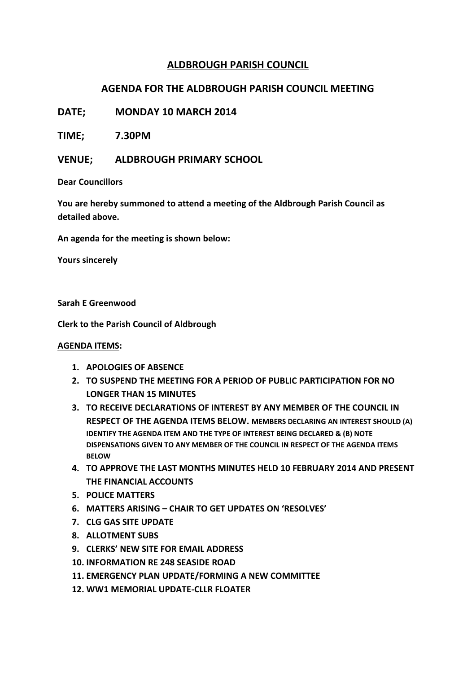## **ALDBROUGH PARISH COUNCIL**

## **AGENDA FOR THE ALDBROUGH PARISH COUNCIL MEETING**

**DATE; MONDAY 10 MARCH 2014**

**TIME; 7.30PM**

**VENUE; ALDBROUGH PRIMARY SCHOOL**

**Dear Councillors**

**You are hereby summoned to attend a meeting of the Aldbrough Parish Council as detailed above.**

**An agenda for the meeting is shown below:**

**Yours sincerely**

**Sarah E Greenwood**

**Clerk to the Parish Council of Aldbrough**

## **AGENDA ITEMS:**

- **1. APOLOGIES OF ABSENCE**
- **2. TO SUSPEND THE MEETING FOR A PERIOD OF PUBLIC PARTICIPATION FOR NO LONGER THAN 15 MINUTES**
- **3. TO RECEIVE DECLARATIONS OF INTEREST BY ANY MEMBER OF THE COUNCIL IN RESPECT OF THE AGENDA ITEMS BELOW. MEMBERS DECLARING AN INTEREST SHOULD (A) IDENTIFY THE AGENDA ITEM AND THE TYPE OF INTEREST BEING DECLARED & (B) NOTE DISPENSATIONS GIVEN TO ANY MEMBER OF THE COUNCIL IN RESPECT OF THE AGENDA ITEMS BELOW**
- **4. TO APPROVE THE LAST MONTHS MINUTES HELD 10 FEBRUARY 2014 AND PRESENT THE FINANCIAL ACCOUNTS**
- **5. POLICE MATTERS**
- **6. MATTERS ARISING – CHAIR TO GET UPDATES ON 'RESOLVES'**
- **7. CLG GAS SITE UPDATE**
- **8. ALLOTMENT SUBS**
- **9. CLERKS' NEW SITE FOR EMAIL ADDRESS**
- **10. INFORMATION RE 248 SEASIDE ROAD**
- **11. EMERGENCY PLAN UPDATE/FORMING A NEW COMMITTEE**
- **12. WW1 MEMORIAL UPDATE-CLLR FLOATER**